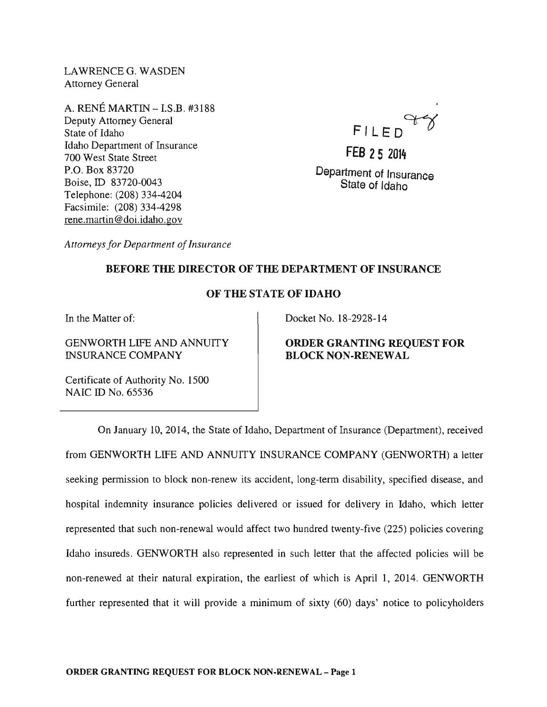LAWRENCEG. WASDEN Attorney General

A. RENE MARTIN - I.S.B. #3188 Deputy Attorney General State of Idaho Idaho Department of Insurance 700 West State Street P.O. Box 83720 Boise, ID 83720-0043 Telephone: (208) 334-4204 Facsimile: (208) 334-4298 rene.martin@doi.idaho.gov

FILED

**FEB 25** <sup>2014</sup> Department of Insurance State of Idaho

*Attorneys for Department of Insurance* 

## BEFORE THE DIRECTOR OF THE DEPARTMENT OF INSURANCE

# OF THE STATE OF IDAHO

In the Matter of:

GENWORTH LIFE AND ANNUITY INSURANCE COMPANY

Docket No. 18-2928-14

## ORDER GRANTING REQUEST FOR BLOCK NON-RENEWAL

Certificate of Authority No. 1500 NAIC ID No. 65536

On January 10,2014, the State of Idaho, Department of Insurance (Department), received from GENWORTH LIFE AND ANNUITY INSURANCE COMPANY (GENWORTH) a letter seeking permission to block non-renew its accident, long-term disability, specified disease, and hospital indemnity insurance policies delivered or issued for delivery in Idaho, which letter represented that such non-renewal would affect two hundred twenty-five (225) policies covering Idaho insureds. GENWORTH also represented in such letter that the affected policies will be non-renewed at their natural expiration, the earliest of which is April 1, 2014. GENWORTH further represented that it will provide a minimum of sixty (60) days' notice to policyholders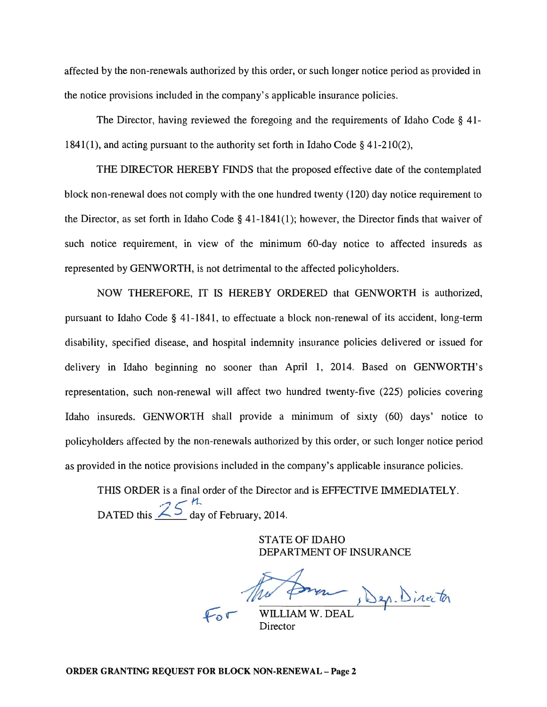affected by the non-renewals authorized by this order, or such longer notice period as provided in the notice provisions included in the company's applicable insurance policies.

The Director, having reviewed the foregoing and the requirements of Idaho Code § 41- 1841(1), and acting pursuant to the authority set forth in Idaho Code § 41-210(2),

THE DIRECTOR HEREBY FINDS that the proposed effective date of the contemplated block non-renewal does not comply with the one hundred twenty (120) day notice requirement to the Director, as set forth in Idaho Code § 41-1841(1); however, the Director finds that waiver of such notice requirement, in view of the minimum 60-day notice to affected insureds as represented by GENWORTH, is not detrimental to the affected policyholders.

NOW THEREFORE, IT IS HEREBY ORDERED that GENWORTH is authorized, pursuant to Idaho Code § 41-1841, to effectuate a block non-renewal of its accident, long-term disability, specified disease, and hospital indemnity insurance policies delivered or issued for delivery in Idaho beginning no sooner than April 1, 2014. Based on GENWORTH's representation, such non-renewal will affect two hundred twenty-five (225) policies covering Idaho insureds. GENWORTH shall provide a minimum of sixty (60) days' notice to policyholders affected by the non-renewals authorized by this order, or such longer notice period as provided in the notice provisions included in the company's applicable insurance policies.

THIS ORDER is a final order of the Director and is EFFECTIVE IMMEDIATELY. DATED this  $\frac{25}{\text{day}}$  of February, 2014.

> STATE OF IDAHO DEPARTMENT OF INSURANCE

Jep. Director

WILLIAM W. DEAL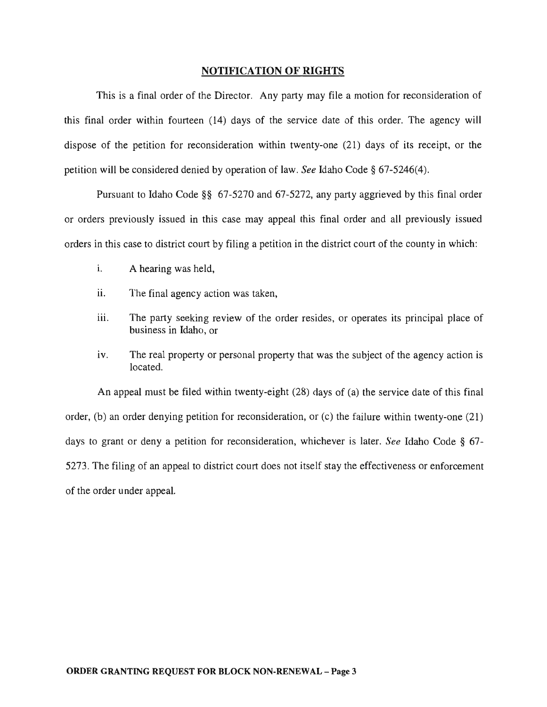#### NOTIFICATION OF RIGHTS

This is a final order of the Director. Any party may file a motion for reconsideration of this final order within fourteen (14) days of the service date of this order. The agency will dispose of the petition for reconsideration within twenty-one (21) days of its receipt, or the petition will be considered denied by operation of law. *See* Idaho Code § 67-5246(4).

Pursuant to Idaho Code §§ 67-5270 and 67-5272, any party aggrieved by this final order or orders previously issued in this case may appeal this final order and all previously issued orders in this case to district court by filing a petition in the district court of the county in which:

- i. A hearing was held,
- ii. The final agency action was taken,
- iii. The party seeking review of the order resides, or operates its principal place of business in Idaho, or
- iv. The real property or personal property that was the subject of the agency action is located.

An appeal must be filed within twenty-eight (28) days of (a) the service date of this final order, (b) an order denying petition for reconsideration, or (c) the failure within twenty-one (21) days to grant or deny a petition for reconsideration, whichever is later. *See* Idaho Code § 67- 5273. The filing of an appeal to district court does not itself stay the effectiveness or enforcement of the order under appeal.